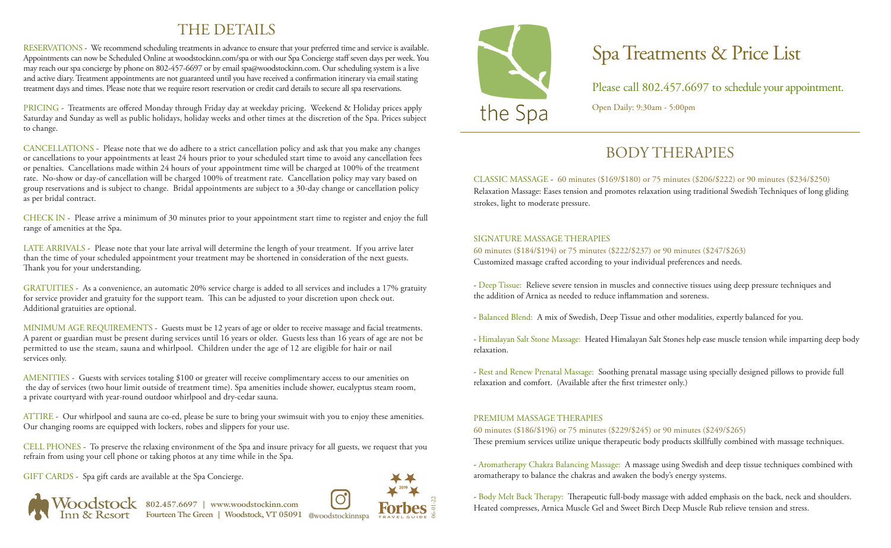# THE DETAILS

RESERVATIONS - We recommend scheduling treatments in advance to ensure that your preferred time and service is available. Appointments can now be Scheduled Online at woodstockinn.com/spa or with our Spa Concierge staff seven days per week. You may reach our spa concierge by phone on 802-457-6697 or by email spa@woodstockinn.com. Our scheduling system is a live and active diary. Treatment appointments are not guaranteed until you have received a confirmation itinerary via email stating treatment days and times. Please note that we require resort reservation or credit card details to secure all spa reservations.

PRICING - Treatments are offered Monday through Friday day at weekday pricing. Weekend & Holiday prices apply Saturday and Sunday as well as public holidays, holiday weeks and other times at the discretion of the Spa. Prices subject to change.

CANCELLATIONS - Please note that we do adhere to a strict cancellation policy and ask that you make any changes or cancellations to your appointments at least 24 hours prior to your scheduled start time to avoid any cancellation fees or penalties. Cancellations made within 24 hours of your appointment time will be charged at 100% of the treatment rate. No-show or day-of cancellation will be charged 100% of treatment rate. Cancellation policy may vary based on group reservations and is subject to change. Bridal appointments are subject to a 30-day change or cancellation policy as per bridal contract.

CHECK IN - Please arrive a minimum of 30 minutes prior to your appointment start time to register and enjoy the full range of amenities at the Spa.

LATE ARRIVALS - Please note that your late arrival will determine the length of your treatment. If you arrive later than the time of your scheduled appointment your treatment may be shortened in consideration of the next guests. Thank you for your understanding.

GRATUITIES - As a convenience, an automatic 20% service charge is added to all services and includes a 17% gratuity for service provider and gratuity for the support team. This can be adjusted to your discretion upon check out. Additional gratuities are optional.

MINIMUM AGE REQUIREMENTS - Guests must be 12 years of age or older to receive massage and facial treatments. A parent or guardian must be present during services until 16 years or older. Guests less than 16 years of age are not be permitted to use the steam, sauna and whirlpool. Children under the age of 12 are eligible for hair or nail services only.

AMENITIES - Guests with services totaling \$100 or greater will receive complimentary access to our amenities on the day of services (two hour limit outside of treatment time). Spa amenities include shower, eucalyptus steam room, a private courtyard with year-round outdoor whirlpool and dry-cedar sauna.

ATTIRE - Our whirlpool and sauna are co-ed, please be sure to bring your swimsuit with you to enjoy these amenities. Our changing rooms are equipped with lockers, robes and slippers for your use.

CELL PHONES - To preserve the relaxing environment of the Spa and insure privacy for all guests, we request that you refrain from using your cell phone or taking photos at any time while in the Spa.

GIFT CARDS - Spa gift cards are available at the Spa Concierge.



06-01-22



# Spa Treatments & Price List

Please call 802.457.6697 to schedule your appointment. Open Daily: 9:30am - 5:00pm

# BODY THERAPIES

CLASSIC MASSAGE - 60 minutes (\$169/\$180) or 75 minutes (\$206/\$222) or 90 minutes (\$234/\$250) Relaxation Massage: Eases tension and promotes relaxation using traditional Swedish Techniques of long gliding strokes, light to moderate pressure.

#### SIGNATURE MASSAGE THERAPIES

60 minutes (\$184/\$194) or 75 minutes (\$222/\$237) or 90 minutes (\$247/\$263) Customized massage crafted according to your individual preferences and needs.

- Deep Tissue: Relieve severe tension in muscles and connective tissues using deep pressure techniques and the addition of Arnica as needed to reduce inflammation and soreness.

- Balanced Blend: A mix of Swedish, Deep Tissue and other modalities, expertly balanced for you.

- Himalayan Salt Stone Massage: Heated Himalayan Salt Stones help ease muscle tension while imparting deep body relaxation.

- Rest and Renew Prenatal Massage: Soothing prenatal massage using specially designed pillows to provide full relaxation and comfort. (Available after the first trimester only.)

### PREMIUM MASSAGE THERAPIES

60 minutes (\$186/\$196) or 75 minutes (\$229/\$245) or 90 minutes (\$249/\$265)

These premium services utilize unique therapeutic body products skillfully combined with massage techniques.

- Aromatherapy Chakra Balancing Massage: A massage using Swedish and deep tissue techniques combined with aromatherapy to balance the chakras and awaken the body's energy systems.

- Body Melt Back Therapy: Therapeutic full-body massage with added emphasis on the back, neck and shoulders. Heated compresses, Arnica Muscle Gel and Sweet Birch Deep Muscle Rub relieve tension and stress.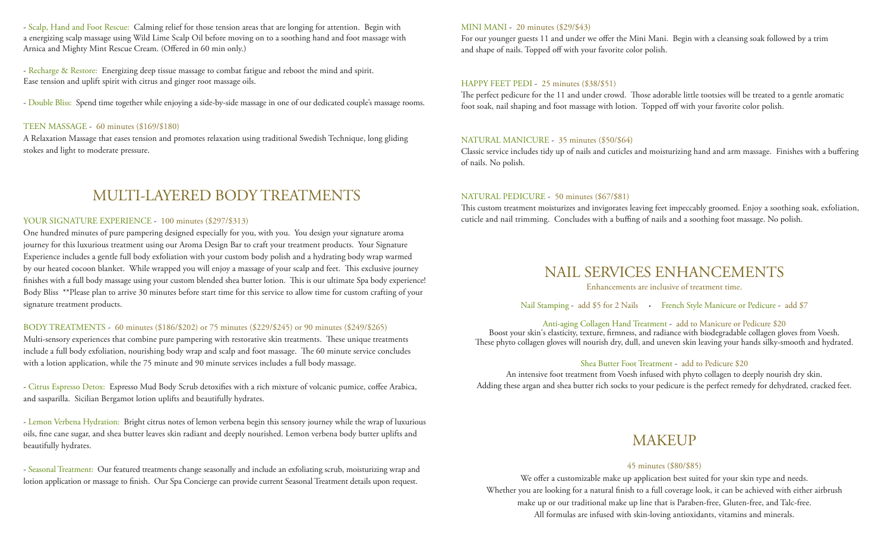- Scalp, Hand and Foot Rescue: Calming relief for those tension areas that are longing for attention. Begin with a energizing scalp massage using Wild Lime Scalp Oil before moving on to a soothing hand and foot massage with Arnica and Mighty Mint Rescue Cream. (Offered in 60 min only.)

- Recharge & Restore: Energizing deep tissue massage to combat fatigue and reboot the mind and spirit. Ease tension and uplift spirit with citrus and ginger root massage oils.

- Double Bliss: Spend time together while enjoying a side-by-side massage in one of our dedicated couple's massage rooms.

#### TEEN MASSAGE - 60 minutes (\$169/\$180)

A Relaxation Massage that eases tension and promotes relaxation using traditional Swedish Technique, long gliding stokes and light to moderate pressure.

### MULTI-LAYERED BODY TREATMENTS

#### YOUR SIGNATURE EXPERIENCE - 100 minutes (\$297/\$313)

One hundred minutes of pure pampering designed especially for you, with you. You design your signature aroma journey for this luxurious treatment using our Aroma Design Bar to craft your treatment products. Your Signature Experience includes a gentle full body exfoliation with your custom body polish and a hydrating body wrap warmed by our heated cocoon blanket. While wrapped you will enjoy a massage of your scalp and feet. This exclusive journey finishes with a full body massage using your custom blended shea butter lotion. This is our ultimate Spa body experience! Body Bliss \*\*Please plan to arrive 30 minutes before start time for this service to allow time for custom crafting of your signature treatment products.

#### BODY TREATMENTS - 60 minutes (\$186/\$202) or 75 minutes (\$229/\$245) or 90 minutes (\$249/\$265)

Multi-sensory experiences that combine pure pampering with restorative skin treatments. These unique treatments include a full body exfoliation, nourishing body wrap and scalp and foot massage. The 60 minute service concludes with a lotion application, while the 75 minute and 90 minute services includes a full body massage.

- Citrus Espresso Detox: Espresso Mud Body Scrub detoxifies with a rich mixture of volcanic pumice, coffee Arabica, and sasparilla. Sicilian Bergamot lotion uplifts and beautifully hydrates.

- Lemon Verbena Hydration: Bright citrus notes of lemon verbena begin this sensory journey while the wrap of luxurious oils, fine cane sugar, and shea butter leaves skin radiant and deeply nourished. Lemon verbena body butter uplifts and beautifully hydrates.

- Seasonal Treatment: Our featured treatments change seasonally and include an exfoliating scrub, moisturizing wrap and lotion application or massage to finish. Our Spa Concierge can provide current Seasonal Treatment details upon request.

#### MINI MANI - 20 minutes (\$29/\$43)

For our younger guests 11 and under we offer the Mini Mani. Begin with a cleansing soak followed by a trim and shape of nails. Topped off with your favorite color polish.

#### HAPPY FEET PEDI - 25 minutes (\$38/\$51)

The perfect pedicure for the 11 and under crowd. Those adorable little tootsies will be treated to a gentle aromatic foot soak, nail shaping and foot massage with lotion. Topped off with your favorite color polish.

#### NATURAL MANICURE - 35 minutes (\$50/\$64)

Classic service includes tidy up of nails and cuticles and moisturizing hand and arm massage. Finishes with a buffering of nails. No polish.

#### NATURAL PEDICURE - 50 minutes (\$67/\$81)

This custom treatment moisturizes and invigorates leaving feet impeccably groomed. Enjoy a soothing soak, exfoliation, cuticle and nail trimming. Concludes with a buffing of nails and a soothing foot massage. No polish.

### NAIL SERVICES ENHANCEMENTS

Enhancements are inclusive of treatment time.

Nail Stamping - add \$5 for 2 Nails • French Style Manicure or Pedicure - add \$7

#### Anti-aging Collagen Hand Treatment - add to Manicure or Pedicure \$20

Boost your skin's elasticity, texture, firmness, and radiance with biodegradable collagen gloves from Voesh. These phyto collagen gloves will nourish dry, dull, and uneven skin leaving your hands silky-smooth and hydrated.

#### Shea Butter Foot Treatment - add to Pedicure \$20

An intensive foot treatment from Voesh infused with phyto collagen to deeply nourish dry skin. Adding these argan and shea butter rich socks to your pedicure is the perfect remedy for dehydrated, cracked feet.

### MAKEUP

#### 45 minutes (\$80/\$85)

We offer a customizable make up application best suited for your skin type and needs. Whether you are looking for a natural finish to a full coverage look, it can be achieved with either airbrush make up or our traditional make up line that is Paraben-free, Gluten-free, and Talc-free. All formulas are infused with skin-loving antioxidants, vitamins and minerals.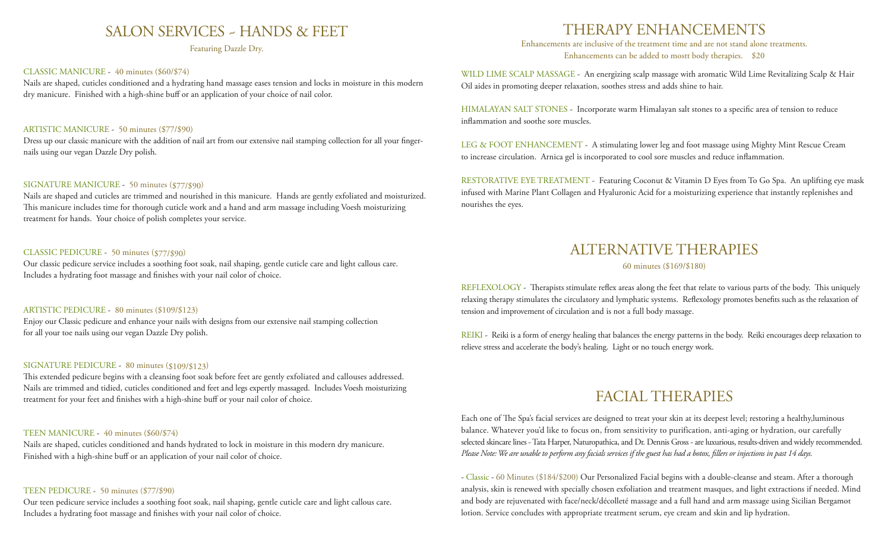### SALON SERVICES ~ HANDS & FEET

Featuring Dazzle Dry.

#### CLASSIC MANICURE - 40 minutes (\$60/\$74)

Nails are shaped, cuticles conditioned and a hydrating hand massage eases tension and locks in moisture in this modern dry manicure. Finished with a high-shine buff or an application of your choice of nail color.

#### ARTISTIC MANICURE - 50 minutes (\$77/\$90)

Dress up our classic manicure with the addition of nail art from our extensive nail stamping collection for all your fingernails using our vegan Dazzle Dry polish.

#### SIGNATURE MANICURE - 50 minutes (\$77/\$90)

Nails are shaped and cuticles are trimmed and nourished in this manicure. Hands are gently exfoliated and moisturized. This manicure includes time for thorough cuticle work and a hand and arm massage including Voesh moisturizing treatment for hands. Your choice of polish completes your service.

#### CLASSIC PEDICURE - 50 minutes (\$77/\$90)

Our classic pedicure service includes a soothing foot soak, nail shaping, gentle cuticle care and light callous care. Includes a hydrating foot massage and finishes with your nail color of choice.

#### ARTISTIC PEDICURE - 80 minutes (\$109/\$123)

Enjoy our Classic pedicure and enhance your nails with designs from our extensive nail stamping collection for all your toe nails using our vegan Dazzle Dry polish.

#### SIGNATURE PEDICURE - 80 minutes (\$109/\$123)

This extended pedicure begins with a cleansing foot soak before feet are gently exfoliated and callouses addressed. Nails are trimmed and tidied, cuticles conditioned and feet and legs expertly massaged. Includes Voesh moisturizing treatment for your feet and finishes with a high-shine buff or your nail color of choice.

#### TEEN MANICURE - 40 minutes (\$60/\$74)

Nails are shaped, cuticles conditioned and hands hydrated to lock in moisture in this modern dry manicure. Finished with a high-shine buff or an application of your nail color of choice.

#### TEEN PEDICURE - 50 minutes (\$77/\$90)

Our teen pedicure service includes a soothing foot soak, nail shaping, gentle cuticle care and light callous care. Includes a hydrating foot massage and finishes with your nail color of choice.

## THERAPY ENHANCEMENTS

Enhancements are inclusive of the treatment time and are not stand alone treatments. Enhancements can be added to mostt body therapies. \$20

WILD LIME SCALP MASSAGE - An energizing scalp massage with aromatic Wild Lime Revitalizing Scalp & Hair Oil aides in promoting deeper relaxation, soothes stress and adds shine to hair.

HIMALAYAN SALT STONES - Incorporate warm Himalayan salt stones to a specific area of tension to reduce inflammation and soothe sore muscles.

LEG & FOOT ENHANCEMENT - A stimulating lower leg and foot massage using Mighty Mint Rescue Cream to increase circulation. Arnica gel is incorporated to cool sore muscles and reduce inflammation.

RESTORATIVE EYE TREATMENT - Featuring Coconut & Vitamin D Eyes from To Go Spa. An uplifting eye mask infused with Marine Plant Collagen and Hyaluronic Acid for a moisturizing experience that instantly replenishes and nourishes the eyes.

### ALTERNATIVE THERAPIES

#### 60 minutes (\$169/\$180)

REFLEXOLOGY - Therapists stimulate reflex areas along the feet that relate to various parts of the body. This uniquely relaxing therapy stimulates the circulatory and lymphatic systems. Reflexology promotes benefits such as the relaxation of tension and improvement of circulation and is not a full body massage.

REIKI - Reiki is a form of energy healing that balances the energy patterns in the body. Reiki encourages deep relaxation to relieve stress and accelerate the body's healing. Light or no touch energy work.

### FACIAL THERAPIES

Each one of The Spa's facial services are designed to treat your skin at its deepest level; restoring a healthy,luminous balance. Whatever you'd like to focus on, from sensitivity to purification, anti-aging or hydration, our carefully selected skincare lines - Tata Harper, Naturopathica, and Dr. Dennis Gross - are luxurious, results-driven and widely recommended. *Please Note: We are unable to perform any facials services if the guest has had a botox, fillers or injections in past 14 days.* 

- Classic - 60 Minutes (\$184/\$200) Our Personalized Facial begins with a double-cleanse and steam. After a thorough analysis, skin is renewed with specially chosen exfoliation and treatment masques, and light extractions if needed. Mind and body are rejuvenated with face/neck/décolleté massage and a full hand and arm massage using Sicilian Bergamot lotion. Service concludes with appropriate treatment serum, eye cream and skin and lip hydration.